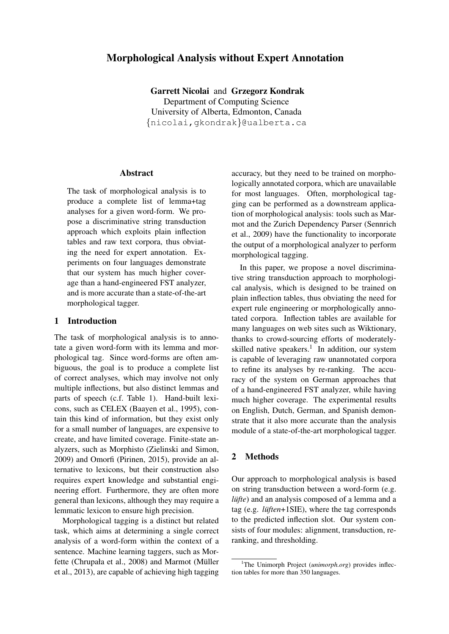# Morphological Analysis without Expert Annotation

Garrett Nicolai and Grzegorz Kondrak Department of Computing Science University of Alberta, Edmonton, Canada {nicolai,gkondrak}@ualberta.ca

## Abstract

The task of morphological analysis is to produce a complete list of lemma+tag analyses for a given word-form. We propose a discriminative string transduction approach which exploits plain inflection tables and raw text corpora, thus obviating the need for expert annotation. Experiments on four languages demonstrate that our system has much higher coverage than a hand-engineered FST analyzer, and is more accurate than a state-of-the-art morphological tagger.

### 1 Introduction

The task of morphological analysis is to annotate a given word-form with its lemma and morphological tag. Since word-forms are often ambiguous, the goal is to produce a complete list of correct analyses, which may involve not only multiple inflections, but also distinct lemmas and parts of speech (c.f. Table 1). Hand-built lexicons, such as CELEX (Baayen et al., 1995), contain this kind of information, but they exist only for a small number of languages, are expensive to create, and have limited coverage. Finite-state analyzers, such as Morphisto (Zielinski and Simon, 2009) and Omorfi (Pirinen, 2015), provide an alternative to lexicons, but their construction also requires expert knowledge and substantial engineering effort. Furthermore, they are often more general than lexicons, although they may require a lemmatic lexicon to ensure high precision.

Morphological tagging is a distinct but related task, which aims at determining a single correct analysis of a word-form within the context of a sentence. Machine learning taggers, such as Morfette (Chrupała et al., 2008) and Marmot (Müller et al., 2013), are capable of achieving high tagging accuracy, but they need to be trained on morphologically annotated corpora, which are unavailable for most languages. Often, morphological tagging can be performed as a downstream application of morphological analysis: tools such as Marmot and the Zurich Dependency Parser (Sennrich et al., 2009) have the functionality to incorporate the output of a morphological analyzer to perform morphological tagging.

In this paper, we propose a novel discriminative string transduction approach to morphological analysis, which is designed to be trained on plain inflection tables, thus obviating the need for expert rule engineering or morphologically annotated corpora. Inflection tables are available for many languages on web sites such as Wiktionary, thanks to crowd-sourcing efforts of moderatelyskilled native speakers. $<sup>1</sup>$  In addition, our system</sup> is capable of leveraging raw unannotated corpora to refine its analyses by re-ranking. The accuracy of the system on German approaches that of a hand-engineered FST analyzer, while having much higher coverage. The experimental results on English, Dutch, German, and Spanish demonstrate that it also more accurate than the analysis module of a state-of-the-art morphological tagger.

# 2 Methods

Our approach to morphological analysis is based on string transduction between a word-form (e.g. *lufte*) and an analysis composed of a lemma and a tag (e.g. *luften*+1SIE), where the tag corresponds to the predicted inflection slot. Our system consists of four modules: alignment, transduction, reranking, and thresholding.

<sup>&</sup>lt;sup>1</sup>The Unimorph Project (*unimorph.org*) provides inflection tables for more than 350 languages.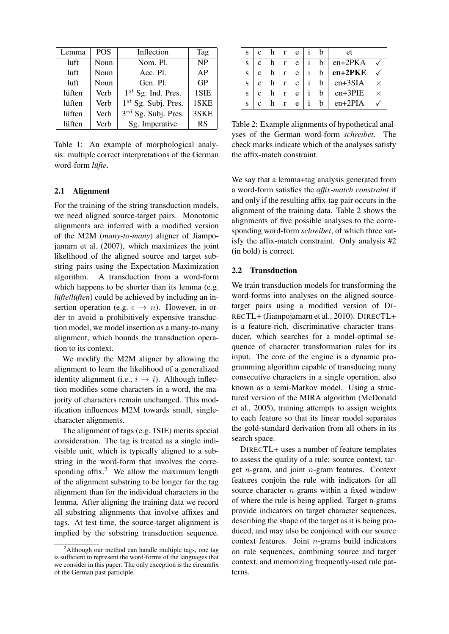| Lemma          | <b>POS</b> | Inflection               | Tag       |
|----------------|------------|--------------------------|-----------|
| luft           | Noun       | Nom. Pl.                 | <b>NP</b> |
| luft           | Noun       | Acc. Pl.                 | AP        |
| luft           | Noun       | Gen. Pl.                 | GP        |
| lüften         | Verb       | $1^{st}$ Sg. Ind. Pres.  | 1SIE      |
| lüften         | Verb       | $1^{st}$ Sg. Subj. Pres. | 1SKE      |
| lüften         | Verb       | $3^{rd}$ Sg. Subj. Pres. | 3SKE      |
| Verb<br>lüften |            | Sg. Imperative           | <b>RS</b> |

Table 1: An example of morphological analysis: multiple correct interpretations of the German word-form *lüfte*.

### 2.1 Alignment

For the training of the string transduction models, we need aligned source-target pairs. Monotonic alignments are inferred with a modified version of the M2M (*many-to-many*) aligner of Jiampojamarn et al. (2007), which maximizes the joint likelihood of the aligned source and target substring pairs using the Expectation-Maximization algorithm. A transduction from a word-form which happens to be shorter than its lemma (e.g. *lufte*/*luften*) could be achieved by including an insertion operation (e.g.  $\epsilon \to n$ ). However, in order to avoid a prohibitively expensive transduction model, we model insertion as a many-to-many alignment, which bounds the transduction operation to its context.

We modify the M2M aligner by allowing the alignment to learn the likelihood of a generalized identity alignment (i.e.,  $i \rightarrow i$ ). Although inflection modifies some characters in a word, the majority of characters remain unchanged. This modification influences M2M towards small, singlecharacter alignments.

The alignment of tags (e.g. 1SIE) merits special consideration. The tag is treated as a single indivisible unit, which is typically aligned to a substring in the word-form that involves the corresponding affix.<sup>2</sup> We allow the maximum length of the alignment substring to be longer for the tag alignment than for the individual characters in the lemma. After aligning the training data we record all substring alignments that involve affixes and tags. At test time, the source-target alignment is implied by the substring transduction sequence.

|   | $\mathbf{C}$ |  | e |  | et        |          |
|---|--------------|--|---|--|-----------|----------|
| S | $\mathbf{C}$ |  | e |  | $en+2PKA$ |          |
| S | $\mathbf{C}$ |  | e |  | $en+2PKE$ |          |
| S | c            |  | e |  | en+3SIA   | $\times$ |
| S | c            |  | e |  | $en+3PIE$ | $\times$ |
| S | с            |  | e |  | $en+2PIA$ |          |

Table 2: Example alignments of hypothetical analyses of the German word-form *schreibet*. The check marks indicate which of the analyses satisfy the affix-match constraint.

We say that a lemma+tag analysis generated from a word-form satisfies the *affix-match constraint* if and only if the resulting affix-tag pair occurs in the alignment of the training data. Table 2 shows the alignments of five possible analyses to the corresponding word-form *schreibet*, of which three satisfy the affix-match constraint. Only analysis #2 (in bold) is correct.

#### 2.2 Transduction

We train transduction models for transforming the word-forms into analyses on the aligned sourcetarget pairs using a modified version of DI-RECTL+ (Jiampojamarn et al., 2010). DIRECTL+ is a feature-rich, discriminative character transducer, which searches for a model-optimal sequence of character transformation rules for its input. The core of the engine is a dynamic programming algorithm capable of transducing many consecutive characters in a single operation, also known as a semi-Markov model. Using a structured version of the MIRA algorithm (McDonald et al., 2005), training attempts to assign weights to each feature so that its linear model separates the gold-standard derivation from all others in its search space.

DIRECTL+ uses a number of feature templates to assess the quality of a rule: source context, target  $n$ -gram, and joint  $n$ -gram features. Context features conjoin the rule with indicators for all source character  $n$ -grams within a fixed window of where the rule is being applied. Target n-grams provide indicators on target character sequences, describing the shape of the target as it is being produced, and may also be conjoined with our source context features. Joint n-grams build indicators on rule sequences, combining source and target context, and memorizing frequently-used rule patterns.

 $^{2}$ Although our method can handle multiple tags, one tag is sufficient to represent the word-forms of the languages that we consider in this paper. The only exception is the circumfix of the German past participle.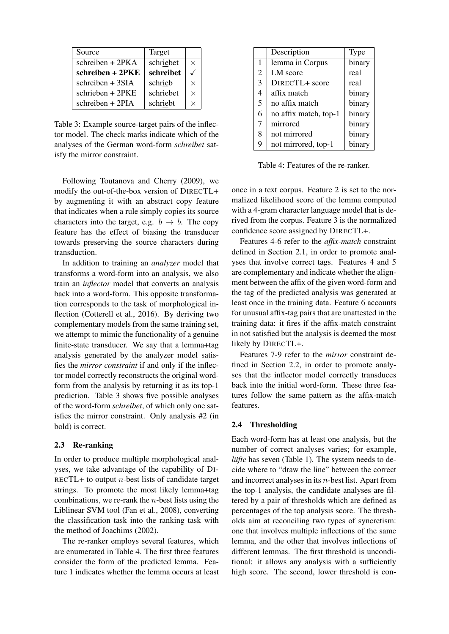| Source             | Target    |          |
|--------------------|-----------|----------|
| schreiben + $2PKA$ | schriebet | $\times$ |
| schreiben + 2PKE   | schreibet |          |
| schreiben $+$ 3SIA | schrieb   | $\times$ |
| schrieben + $2PKE$ | schriebet | $\times$ |
| schreiben $+$ 2PIA | schriebt  | $\times$ |

Table 3: Example source-target pairs of the inflector model. The check marks indicate which of the analyses of the German word-form *schreibet* satisfy the mirror constraint.

Following Toutanova and Cherry (2009), we modify the out-of-the-box version of DIRECTL+ by augmenting it with an abstract copy feature that indicates when a rule simply copies its source characters into the target, e.g.  $b \rightarrow b$ . The copy feature has the effect of biasing the transducer towards preserving the source characters during transduction.

In addition to training an *analyzer* model that transforms a word-form into an analysis, we also train an *inflector* model that converts an analysis back into a word-form. This opposite transformation corresponds to the task of morphological inflection (Cotterell et al., 2016). By deriving two complementary models from the same training set, we attempt to mimic the functionality of a genuine finite-state transducer. We say that a lemma+tag analysis generated by the analyzer model satisfies the *mirror constraint* if and only if the inflector model correctly reconstructs the original wordform from the analysis by returning it as its top-1 prediction. Table 3 shows five possible analyses of the word-form *schreibet*, of which only one satisfies the mirror constraint. Only analysis #2 (in bold) is correct.

#### 2.3 Re-ranking

In order to produce multiple morphological analyses, we take advantage of the capability of DI-RECTL $+$  to output *n*-best lists of candidate target strings. To promote the most likely lemma+tag combinations, we re-rank the  $n$ -best lists using the Liblinear SVM tool (Fan et al., 2008), converting the classification task into the ranking task with the method of Joachims (2002).

The re-ranker employs several features, which are enumerated in Table 4. The first three features consider the form of the predicted lemma. Feature 1 indicates whether the lemma occurs at least

|                | Description           | Type   |
|----------------|-----------------------|--------|
| $\mathbf{1}$   | lemma in Corpus       | binary |
| $\mathfrak{2}$ | LM score              | real   |
| 3              | DIRECTL+ score        | real   |
| $\overline{4}$ | affix match           | binary |
| 5              | no affix match        | binary |
| 6              | no affix match, top-1 | binary |
| 7              | mirrored              | binary |
| 8              | not mirrored          | binary |
| 9              | not mirrored, top-1   | binary |

Table 4: Features of the re-ranker.

once in a text corpus. Feature 2 is set to the normalized likelihood score of the lemma computed with a 4-gram character language model that is derived from the corpus. Feature 3 is the normalized confidence score assigned by DIRECTL+.

Features 4-6 refer to the *affix-match* constraint defined in Section 2.1, in order to promote analyses that involve correct tags. Features 4 and 5 are complementary and indicate whether the alignment between the affix of the given word-form and the tag of the predicted analysis was generated at least once in the training data. Feature 6 accounts for unusual affix-tag pairs that are unattested in the training data: it fires if the affix-match constraint in not satisfied but the analysis is deemed the most likely by DIRECTL+.

Features 7-9 refer to the *mirror* constraint defined in Section 2.2, in order to promote analyses that the inflector model correctly transduces back into the initial word-form. These three features follow the same pattern as the affix-match features.

## 2.4 Thresholding

Each word-form has at least one analysis, but the number of correct analyses varies; for example, *lufte* has seven (Table 1). The system needs to decide where to "draw the line" between the correct and incorrect analyses in its n-best list. Apart from the top-1 analysis, the candidate analyses are filtered by a pair of thresholds which are defined as percentages of the top analysis score. The thresholds aim at reconciling two types of syncretism: one that involves multiple inflections of the same lemma, and the other that involves inflections of different lemmas. The first threshold is unconditional: it allows any analysis with a sufficiently high score. The second, lower threshold is con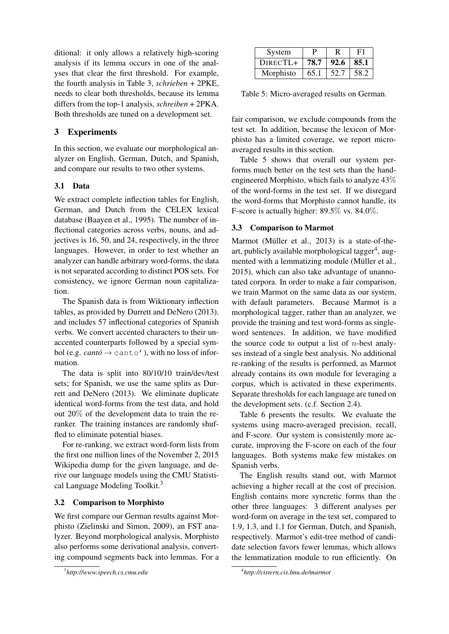ditional: it only allows a relatively high-scoring analysis if its lemma occurs in one of the analyses that clear the first threshold. For example, the fourth analysis in Table 3, *schrieben* + 2PKE, needs to clear both thresholds, because its lemma differs from the top-1 analysis, *schreiben* + 2PKA. Both thresholds are tuned on a development set.

## 3 Experiments

In this section, we evaluate our morphological analyzer on English, German, Dutch, and Spanish, and compare our results to two other systems.

## 3.1 Data

We extract complete inflection tables for English, German, and Dutch from the CELEX lexical database (Baayen et al., 1995). The number of inflectional categories across verbs, nouns, and adjectives is 16, 50, and 24, respectively, in the three languages. However, in order to test whether an analyzer can handle arbitrary word-forms, the data is not separated according to distinct POS sets. For consistency, we ignore German noun capitalization.

The Spanish data is from Wiktionary inflection tables, as provided by Durrett and DeNero (2013). and includes 57 inflectional categories of Spanish verbs. We convert accented characters to their unaccented counterparts followed by a special symbol (e.g. *canto*  $\rightarrow$  canto'), with no loss of information.

The data is split into 80/10/10 train/dev/test sets; for Spanish, we use the same splits as Durrett and DeNero (2013). We eliminate duplicate identical word-forms from the test data, and hold out 20% of the development data to train the reranker. The training instances are randomly shuffled to eliminate potential biases.

For re-ranking, we extract word-form lists from the first one million lines of the November 2, 2015 Wikipedia dump for the given language, and derive our language models using the CMU Statistical Language Modeling Toolkit.<sup>3</sup>

#### 3.2 Comparison to Morphisto

We first compare our German results against Morphisto (Zielinski and Simon, 2009), an FST analyzer. Beyond morphological analysis, Morphisto also performs some derivational analysis, converting compound segments back into lemmas. For a

| System    |      |      | F1   |  |
|-----------|------|------|------|--|
| DIRECTL+  | 78.7 | 92.6 | 85.1 |  |
| Morphisto | 65.1 | 52.7 | 58.2 |  |

Table 5: Micro-averaged results on German.

fair comparison, we exclude compounds from the test set. In addition, because the lexicon of Morphisto has a limited coverage, we report microaveraged results in this section.

Table 5 shows that overall our system performs much better on the test sets than the handengineered Morphisto, which fails to analyze 43% of the word-forms in the test set. If we disregard the word-forms that Morphisto cannot handle, its F-score is actually higher: 89.5% vs. 84.0%.

## 3.3 Comparison to Marmot

Marmot (Müller et al., 2013) is a state-of-theart, publicly available morphological tagger<sup>4</sup>, augmented with a lemmatizing module (Müller et al., 2015), which can also take advantage of unannotated corpora. In order to make a fair comparison, we train Marmot on the same data as our system, with default parameters. Because Marmot is a morphological tagger, rather than an analyzer, we provide the training and test word-forms as singleword sentences. In addition, we have modified the source code to output a list of  $n$ -best analyses instead of a single best analysis. No additional re-ranking of the results is performed, as Marmot already contains its own module for leveraging a corpus, which is activated in these experiments. Separate thresholds for each language are tuned on the development sets. (c.f. Section 2.4).

Table 6 presents the results. We evaluate the systems using macro-averaged precision, recall, and F-score. Our system is consistently more accurate, improving the F-score on each of the four languages. Both systems make few mistakes on Spanish verbs.

The English results stand out, with Marmot achieving a higher recall at the cost of precision. English contains more syncretic forms than the other three languages: 3 different analyses per word-form on average in the test set, compared to 1.9, 1.3, and 1.1 for German, Dutch, and Spanish, respectively. Marmot's edit-tree method of candidate selection favors fewer lemmas, which allows the lemmatization module to run efficiently. On

<sup>3</sup> *http://www.speech.cs.cmu.edu*

<sup>4</sup> *http://cistern.cis.lmu.de/marmot*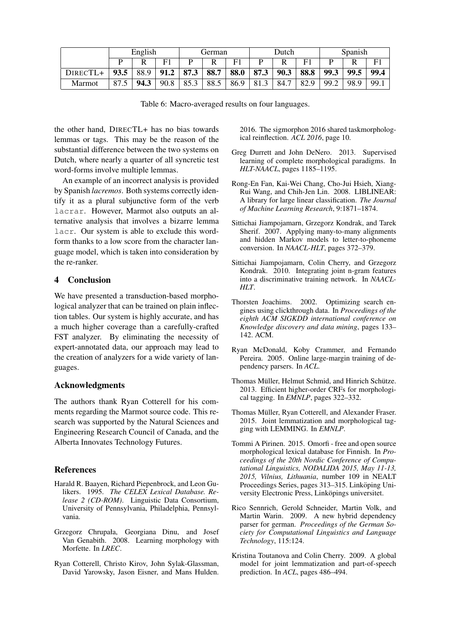|          | English |      | German      |      | Dutch |             |      | Spanish |      |      |      |      |
|----------|---------|------|-------------|------|-------|-------------|------|---------|------|------|------|------|
|          |         |      | $_{\rm F1}$ |      |       | $_{\rm F1}$ | D    | D       | E1   |      |      | E1   |
| DIRECTL+ | 93.5    | 88.9 | 91.2        | 87.3 | 88.7  | 88.0        | 87.3 | 90.3    | 88.8 | 99.3 | 99.5 | 99.4 |
| Marmot   | 87.5    | 94.3 | 90.8        | 85.3 | 88.5  | 86.9        | 81.3 | 84.7    | 82.9 | 99.2 | 98.9 | 99.1 |

Table 6: Macro-averaged results on four languages.

the other hand, DIRECTL+ has no bias towards lemmas or tags. This may be the reason of the substantial difference between the two systems on Dutch, where nearly a quarter of all syncretic test word-forms involve multiple lemmas.

An example of an incorrect analysis is provided by Spanish *lacremos*. Both systems correctly identify it as a plural subjunctive form of the verb lacrar. However, Marmot also outputs an alternative analysis that involves a bizarre lemma lacr. Our system is able to exclude this wordform thanks to a low score from the character language model, which is taken into consideration by the re-ranker.

# 4 Conclusion

We have presented a transduction-based morphological analyzer that can be trained on plain inflection tables. Our system is highly accurate, and has a much higher coverage than a carefully-crafted FST analyzer. By eliminating the necessity of expert-annotated data, our approach may lead to the creation of analyzers for a wide variety of languages.

# Acknowledgments

The authors thank Ryan Cotterell for his comments regarding the Marmot source code. This research was supported by the Natural Sciences and Engineering Research Council of Canada, and the Alberta Innovates Technology Futures.

# References

- Harald R. Baayen, Richard Piepenbrock, and Leon Gulikers. 1995. *The CELEX Lexical Database. Release 2 (CD-ROM)*. Linguistic Data Consortium, University of Pennsylvania, Philadelphia, Pennsylvania.
- Grzegorz Chrupała, Georgiana Dinu, and Josef Van Genabith. 2008. Learning morphology with Morfette. In *LREC*.
- Ryan Cotterell, Christo Kirov, John Sylak-Glassman, David Yarowsky, Jason Eisner, and Mans Hulden.

2016. The sigmorphon 2016 shared taskmorphological reinflection. *ACL 2016*, page 10.

- Greg Durrett and John DeNero. 2013. Supervised learning of complete morphological paradigms. In *HLT-NAACL*, pages 1185–1195.
- Rong-En Fan, Kai-Wei Chang, Cho-Jui Hsieh, Xiang-Rui Wang, and Chih-Jen Lin. 2008. LIBLINEAR: A library for large linear classification. *The Journal of Machine Learning Research*, 9:1871–1874.
- Sittichai Jiampojamarn, Grzegorz Kondrak, and Tarek Sherif. 2007. Applying many-to-many alignments and hidden Markov models to letter-to-phoneme conversion. In *NAACL-HLT*, pages 372–379.
- Sittichai Jiampojamarn, Colin Cherry, and Grzegorz Kondrak. 2010. Integrating joint n-gram features into a discriminative training network. In *NAACL-HLT*.
- Thorsten Joachims. 2002. Optimizing search engines using clickthrough data. In *Proceedings of the eighth ACM SIGKDD international conference on Knowledge discovery and data mining*, pages 133– 142. ACM.
- Ryan McDonald, Koby Crammer, and Fernando Pereira. 2005. Online large-margin training of dependency parsers. In *ACL*.
- Thomas Müller, Helmut Schmid, and Hinrich Schütze. 2013. Efficient higher-order CRFs for morphological tagging. In *EMNLP*, pages 322–332.
- Thomas Müller, Ryan Cotterell, and Alexander Fraser. 2015. Joint lemmatization and morphological tagging with LEMMING. In *EMNLP*.
- Tommi A Pirinen. 2015. Omorfi free and open source morphological lexical database for Finnish. In *Proceedings of the 20th Nordic Conference of Computational Linguistics, NODALIDA 2015, May 11-13, 2015, Vilnius, Lithuania*, number 109 in NEALT Proceedings Series, pages 313–315. Linköping University Electronic Press, Linköpings universitet.
- Rico Sennrich, Gerold Schneider, Martin Volk, and Martin Warin. 2009. A new hybrid dependency parser for german. *Proceedings of the German Society for Computational Linguistics and Language Technology*, 115:124.
- Kristina Toutanova and Colin Cherry. 2009. A global model for joint lemmatization and part-of-speech prediction. In *ACL*, pages 486–494.